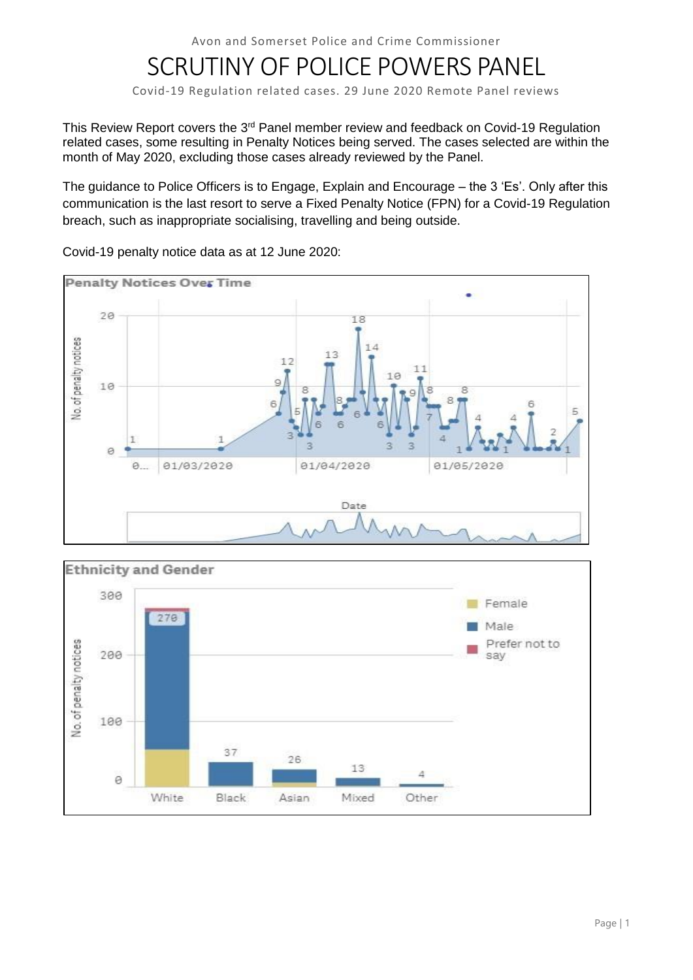# SCRUTINY OF POLICE POWERS PANEL

Covid-19 Regulation related cases. 29 June 2020 Remote Panel reviews

This Review Report covers the 3<sup>rd</sup> Panel member review and feedback on Covid-19 Regulation related cases, some resulting in Penalty Notices being served. The cases selected are within the month of May 2020, excluding those cases already reviewed by the Panel.

The guidance to Police Officers is to Engage, Explain and Encourage – the 3 'Es'. Only after this communication is the last resort to serve a Fixed Penalty Notice (FPN) for a Covid-19 Regulation breach, such as inappropriate socialising, travelling and being outside.



Covid-19 penalty notice data as at 12 June 2020:

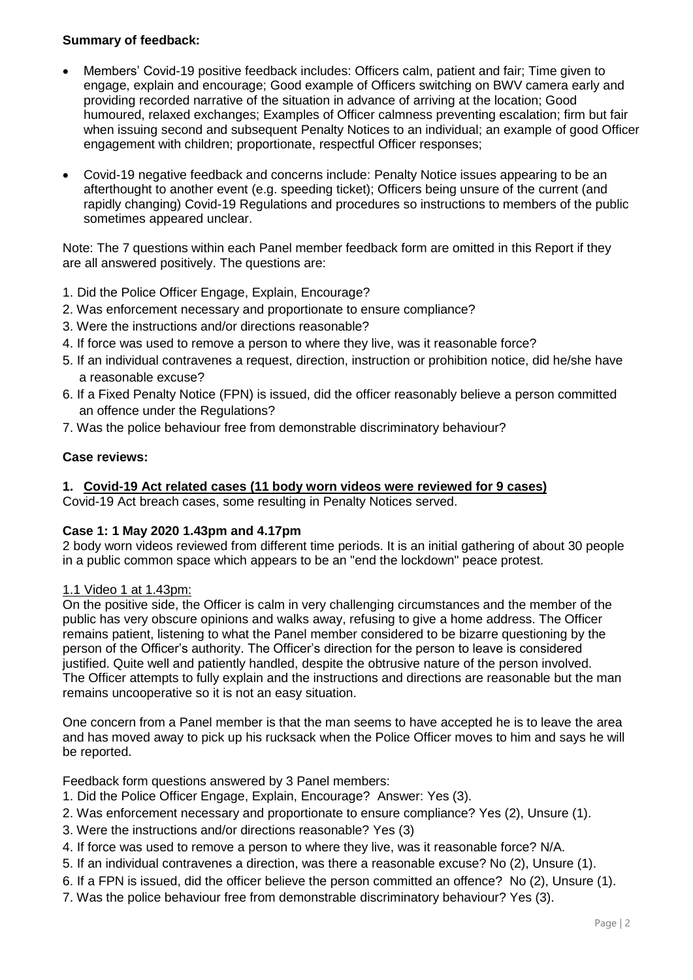# **Summary of feedback:**

- Members' Covid-19 positive feedback includes: Officers calm, patient and fair; Time given to engage, explain and encourage; Good example of Officers switching on BWV camera early and providing recorded narrative of the situation in advance of arriving at the location; Good humoured, relaxed exchanges; Examples of Officer calmness preventing escalation; firm but fair when issuing second and subsequent Penalty Notices to an individual; an example of good Officer engagement with children; proportionate, respectful Officer responses;
- Covid-19 negative feedback and concerns include: Penalty Notice issues appearing to be an afterthought to another event (e.g. speeding ticket); Officers being unsure of the current (and rapidly changing) Covid-19 Regulations and procedures so instructions to members of the public sometimes appeared unclear.

Note: The 7 questions within each Panel member feedback form are omitted in this Report if they are all answered positively. The questions are:

- 1. Did the Police Officer Engage, Explain, Encourage?
- 2. Was enforcement necessary and proportionate to ensure compliance?
- 3. Were the instructions and/or directions reasonable?
- 4. If force was used to remove a person to where they live, was it reasonable force?
- 5. If an individual contravenes a request, direction, instruction or prohibition notice, did he/she have a reasonable excuse?
- 6. If a Fixed Penalty Notice (FPN) is issued, did the officer reasonably believe a person committed an offence under the Regulations?
- 7. Was the police behaviour free from demonstrable discriminatory behaviour?

## **Case reviews:**

## **1. Covid-19 Act related cases (11 body worn videos were reviewed for 9 cases)**

Covid-19 Act breach cases, some resulting in Penalty Notices served.

## **Case 1: 1 May 2020 1.43pm and 4.17pm**

2 body worn videos reviewed from different time periods. It is an initial gathering of about 30 people in a public common space which appears to be an "end the lockdown" peace protest.

#### 1.1 Video 1 at 1.43pm:

On the positive side, the Officer is calm in very challenging circumstances and the member of the public has very obscure opinions and walks away, refusing to give a home address. The Officer remains patient, listening to what the Panel member considered to be bizarre questioning by the person of the Officer's authority. The Officer's direction for the person to leave is considered justified. Quite well and patiently handled, despite the obtrusive nature of the person involved. The Officer attempts to fully explain and the instructions and directions are reasonable but the man remains uncooperative so it is not an easy situation.

One concern from a Panel member is that the man seems to have accepted he is to leave the area and has moved away to pick up his rucksack when the Police Officer moves to him and says he will be reported.

Feedback form questions answered by 3 Panel members:

- 1. Did the Police Officer Engage, Explain, Encourage? Answer: Yes (3).
- 2. Was enforcement necessary and proportionate to ensure compliance? Yes (2), Unsure (1).
- 3. Were the instructions and/or directions reasonable? Yes (3)
- 4. If force was used to remove a person to where they live, was it reasonable force? N/A.
- 5. If an individual contravenes a direction, was there a reasonable excuse? No (2), Unsure (1).
- 6. If a FPN is issued, did the officer believe the person committed an offence? No (2), Unsure (1).
- 7. Was the police behaviour free from demonstrable discriminatory behaviour? Yes (3).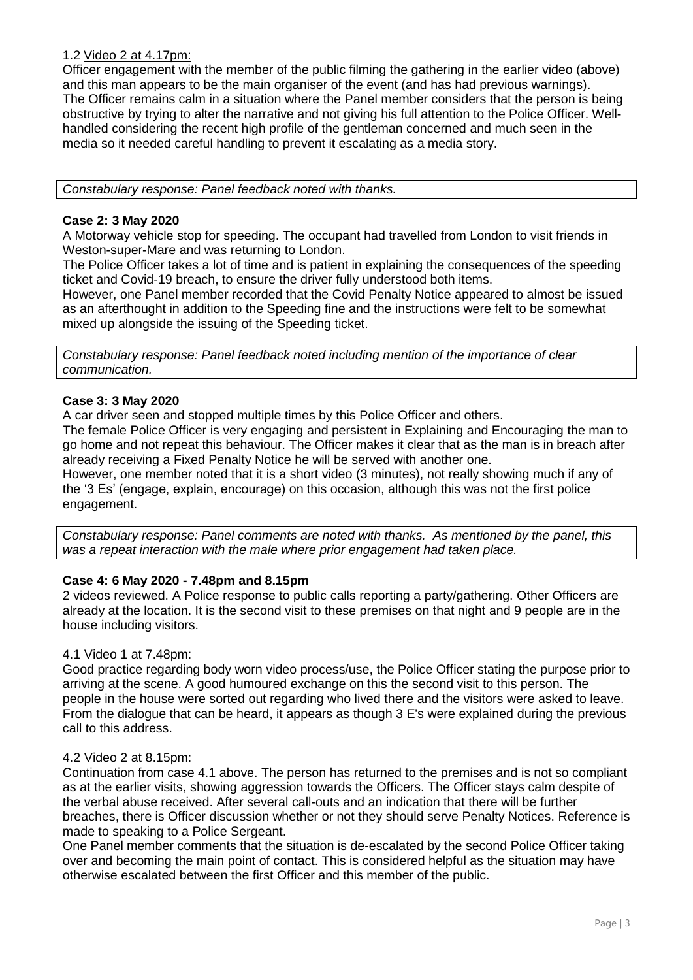## 1.2 Video 2 at 4.17pm:

Officer engagement with the member of the public filming the gathering in the earlier video (above) and this man appears to be the main organiser of the event (and has had previous warnings). The Officer remains calm in a situation where the Panel member considers that the person is being obstructive by trying to alter the narrative and not giving his full attention to the Police Officer. Wellhandled considering the recent high profile of the gentleman concerned and much seen in the media so it needed careful handling to prevent it escalating as a media story.

*Constabulary response: Panel feedback noted with thanks.*

#### **Case 2: 3 May 2020**

A Motorway vehicle stop for speeding. The occupant had travelled from London to visit friends in Weston-super-Mare and was returning to London.

The Police Officer takes a lot of time and is patient in explaining the consequences of the speeding ticket and Covid-19 breach, to ensure the driver fully understood both items.

However, one Panel member recorded that the Covid Penalty Notice appeared to almost be issued as an afterthought in addition to the Speeding fine and the instructions were felt to be somewhat mixed up alongside the issuing of the Speeding ticket.

*Constabulary response: Panel feedback noted including mention of the importance of clear communication.*

## **Case 3: 3 May 2020**

A car driver seen and stopped multiple times by this Police Officer and others.

The female Police Officer is very engaging and persistent in Explaining and Encouraging the man to go home and not repeat this behaviour. The Officer makes it clear that as the man is in breach after already receiving a Fixed Penalty Notice he will be served with another one.

However, one member noted that it is a short video (3 minutes), not really showing much if any of the '3 Es' (engage, explain, encourage) on this occasion, although this was not the first police engagement.

*Constabulary response: Panel comments are noted with thanks. As mentioned by the panel, this was a repeat interaction with the male where prior engagement had taken place.*

## **Case 4: 6 May 2020 - 7.48pm and 8.15pm**

2 videos reviewed. A Police response to public calls reporting a party/gathering. Other Officers are already at the location. It is the second visit to these premises on that night and 9 people are in the house including visitors.

## 4.1 Video 1 at 7.48pm:

Good practice regarding body worn video process/use, the Police Officer stating the purpose prior to arriving at the scene. A good humoured exchange on this the second visit to this person. The people in the house were sorted out regarding who lived there and the visitors were asked to leave. From the dialogue that can be heard, it appears as though 3 E's were explained during the previous call to this address.

## 4.2 Video 2 at 8.15pm:

Continuation from case 4.1 above. The person has returned to the premises and is not so compliant as at the earlier visits, showing aggression towards the Officers. The Officer stays calm despite of the verbal abuse received. After several call-outs and an indication that there will be further breaches, there is Officer discussion whether or not they should serve Penalty Notices. Reference is made to speaking to a Police Sergeant.

One Panel member comments that the situation is de-escalated by the second Police Officer taking over and becoming the main point of contact. This is considered helpful as the situation may have otherwise escalated between the first Officer and this member of the public.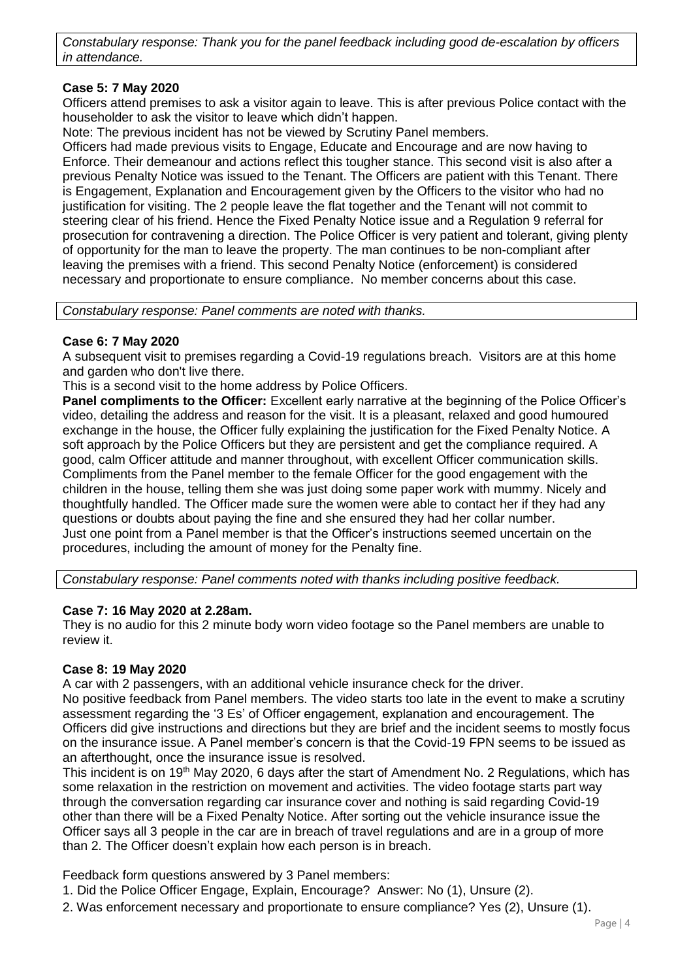*Constabulary response: Thank you for the panel feedback including good de-escalation by officers in attendance.*

## **Case 5: 7 May 2020**

Officers attend premises to ask a visitor again to leave. This is after previous Police contact with the householder to ask the visitor to leave which didn't happen.

Note: The previous incident has not be viewed by Scrutiny Panel members.

Officers had made previous visits to Engage, Educate and Encourage and are now having to Enforce. Their demeanour and actions reflect this tougher stance. This second visit is also after a previous Penalty Notice was issued to the Tenant. The Officers are patient with this Tenant. There is Engagement, Explanation and Encouragement given by the Officers to the visitor who had no justification for visiting. The 2 people leave the flat together and the Tenant will not commit to steering clear of his friend. Hence the Fixed Penalty Notice issue and a Regulation 9 referral for prosecution for contravening a direction. The Police Officer is very patient and tolerant, giving plenty of opportunity for the man to leave the property. The man continues to be non-compliant after leaving the premises with a friend. This second Penalty Notice (enforcement) is considered necessary and proportionate to ensure compliance. No member concerns about this case.

*Constabulary response: Panel comments are noted with thanks.*

## **Case 6: 7 May 2020**

A subsequent visit to premises regarding a Covid-19 regulations breach. Visitors are at this home and garden who don't live there.

This is a second visit to the home address by Police Officers.

**Panel compliments to the Officer:** Excellent early narrative at the beginning of the Police Officer's video, detailing the address and reason for the visit. It is a pleasant, relaxed and good humoured exchange in the house, the Officer fully explaining the justification for the Fixed Penalty Notice. A soft approach by the Police Officers but they are persistent and get the compliance required. A good, calm Officer attitude and manner throughout, with excellent Officer communication skills. Compliments from the Panel member to the female Officer for the good engagement with the children in the house, telling them she was just doing some paper work with mummy. Nicely and thoughtfully handled. The Officer made sure the women were able to contact her if they had any questions or doubts about paying the fine and she ensured they had her collar number. Just one point from a Panel member is that the Officer's instructions seemed uncertain on the procedures, including the amount of money for the Penalty fine.

*Constabulary response: Panel comments noted with thanks including positive feedback.*

#### **Case 7: 16 May 2020 at 2.28am.**

They is no audio for this 2 minute body worn video footage so the Panel members are unable to review it.

## **Case 8: 19 May 2020**

A car with 2 passengers, with an additional vehicle insurance check for the driver.

No positive feedback from Panel members. The video starts too late in the event to make a scrutiny assessment regarding the '3 Es' of Officer engagement, explanation and encouragement. The Officers did give instructions and directions but they are brief and the incident seems to mostly focus on the insurance issue. A Panel member's concern is that the Covid-19 FPN seems to be issued as an afterthought, once the insurance issue is resolved.

This incident is on 19<sup>th</sup> May 2020, 6 days after the start of Amendment No. 2 Regulations, which has some relaxation in the restriction on movement and activities. The video footage starts part way through the conversation regarding car insurance cover and nothing is said regarding Covid-19 other than there will be a Fixed Penalty Notice. After sorting out the vehicle insurance issue the Officer says all 3 people in the car are in breach of travel regulations and are in a group of more than 2. The Officer doesn't explain how each person is in breach.

Feedback form questions answered by 3 Panel members:

- 1. Did the Police Officer Engage, Explain, Encourage? Answer: No (1), Unsure (2).
- 2. Was enforcement necessary and proportionate to ensure compliance? Yes (2), Unsure (1).